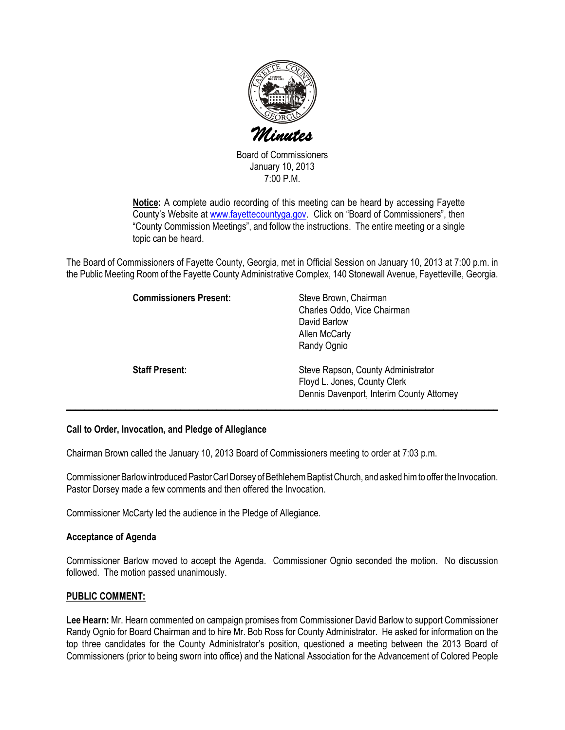

Board of Commissioners January 10, 2013 7:00 P.M.

Notice: A complete audio recording of this meeting can be heard by accessing Fayette County's Website at www.fayettecountyga.gov. Click on "Board of Commissioners", then "County Commission Meetings", and follow the instructions. The entire meeting or a single topic can be heard.

The Board of Commissioners of Fayette County, Georgia, met in Official Session on January 10, 2013 at 7:00 p.m. in the Public Meeting Room of the Fayette County Administrative Complex, 140 Stonewall Avenue, Fayetteville, Georgia.

| <b>Commissioners Present:</b> | Steve Brown, Chairman<br>Charles Oddo, Vice Chairman<br>David Barlow<br>Allen McCarty<br>Randy Ognio            |
|-------------------------------|-----------------------------------------------------------------------------------------------------------------|
| <b>Staff Present:</b>         | Steve Rapson, County Administrator<br>Floyd L. Jones, County Clerk<br>Dennis Davenport, Interim County Attorney |

#### Call to Order, Invocation, and Pledge of Allegiance

Chairman Brown called the January 10, 2013 Board of Commissioners meeting to order at 7:03 p.m.

Commissioner Barlow introduced Pastor Carl Dorsey of Bethlehem Baptist Church, and asked him to offer the Invocation. Pastor Dorsey made a few comments and then offered the Invocation.

Commissioner McCarty led the audience in the Pledge of Allegiance.

#### Acceptance of Agenda

Commissioner Barlow moved to accept the Agenda. Commissioner Ognio seconded the motion. No discussion followed. The motion passed unanimously.

#### PUBLIC COMMENT:

Lee Hearn: Mr. Hearn commented on campaign promises from Commissioner David Barlow to support Commissioner Randy Ognio for Board Chairman and to hire Mr. Bob Ross for County Administrator. He asked for information on the top three candidates for the County Administrator's position, questioned a meeting between the 2013 Board of Commissioners (prior to being sworn into office) and the National Association for the Advancement of Colored People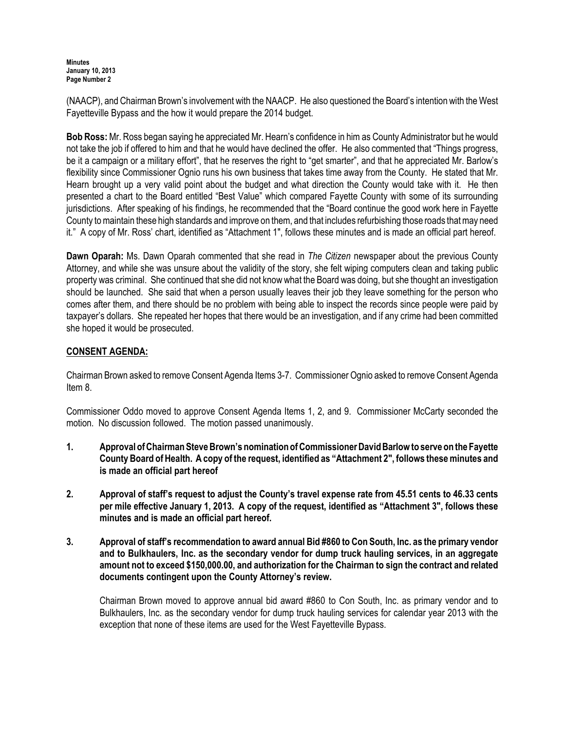**Minutes** January 10, 2013 Page Number 2

(NAACP), and Chairman Brown's involvement with the NAACP. He also questioned the Board's intention with the West Fayetteville Bypass and the how it would prepare the 2014 budget.

Bob Ross: Mr. Ross began saying he appreciated Mr. Hearn's confidence in him as County Administrator but he would not take the job if offered to him and that he would have declined the offer. He also commented that "Things progress, be it a campaign or a military effort", that he reserves the right to "get smarter", and that he appreciated Mr. Barlow's flexibility since Commissioner Ognio runs his own business that takes time away from the County. He stated that Mr. Hearn brought up a very valid point about the budget and what direction the County would take with it. He then presented a chart to the Board entitled "Best Value" which compared Fayette County with some of its surrounding jurisdictions. After speaking of his findings, he recommended that the "Board continue the good work here in Fayette County to maintain these high standards and improve on them, and that includes refurbishing those roads that may need it." A copy of Mr. Ross' chart, identified as "Attachment 1", follows these minutes and is made an official part hereof.

Dawn Oparah: Ms. Dawn Oparah commented that she read in The Citizen newspaper about the previous County Attorney, and while she was unsure about the validity of the story, she felt wiping computers clean and taking public property was criminal. She continued that she did not know what the Board was doing, but she thought an investigation should be launched. She said that when a person usually leaves their job they leave something for the person who comes after them, and there should be no problem with being able to inspect the records since people were paid by taxpayer's dollars. She repeated her hopes that there would be an investigation, and if any crime had been committed she hoped it would be prosecuted.

# CONSENT AGENDA:

Chairman Brown asked to remove Consent Agenda Items 3-7. Commissioner Ognio asked to remove Consent Agenda Item 8.

Commissioner Oddo moved to approve Consent Agenda Items 1, 2, and 9. Commissioner McCarty seconded the motion. No discussion followed. The motion passed unanimously.

- 1. Approval of Chairman Steve Brown's nomination of Commissioner David Barlow to serve on the Fayette County Board of Health. A copy of the request, identified as "Attachment 2", follows these minutes and is made an official part hereof
- 2. Approval of staff's request to adjust the County's travel expense rate from 45.51 cents to 46.33 cents per mile effective January 1, 2013. A copy of the request, identified as "Attachment 3", follows these minutes and is made an official part hereof.
- 3. Approval of staff's recommendation to award annual Bid #860 to Con South, Inc. as the primary vendor and to Bulkhaulers, Inc. as the secondary vendor for dump truck hauling services, in an aggregate amount not to exceed \$150,000.00, and authorization for the Chairman to sign the contract and related documents contingent upon the County Attorney's review.

Chairman Brown moved to approve annual bid award #860 to Con South, Inc. as primary vendor and to Bulkhaulers, Inc. as the secondary vendor for dump truck hauling services for calendar year 2013 with the exception that none of these items are used for the West Fayetteville Bypass.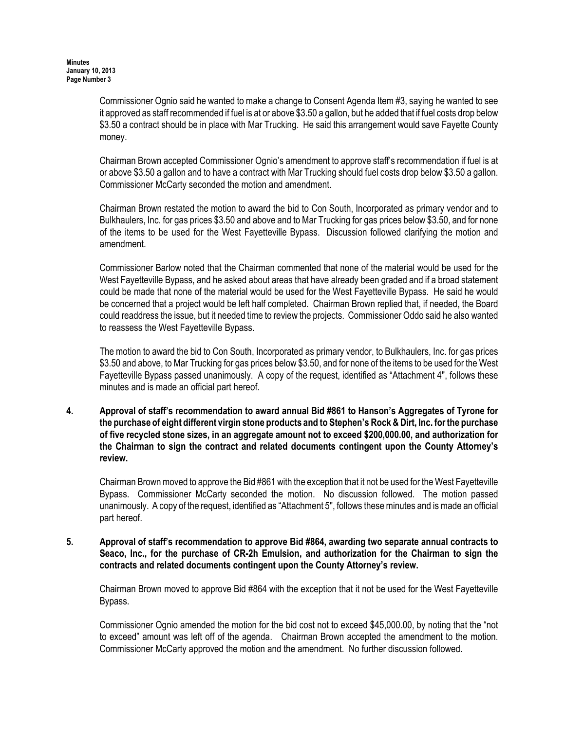Commissioner Ognio said he wanted to make a change to Consent Agenda Item #3, saying he wanted to see it approved as staff recommended if fuel is at or above \$3.50 a gallon, but he added that if fuel costs drop below \$3.50 a contract should be in place with Mar Trucking. He said this arrangement would save Fayette County money.

Chairman Brown accepted Commissioner Ognio's amendment to approve staff's recommendation if fuel is at or above \$3.50 a gallon and to have a contract with Mar Trucking should fuel costs drop below \$3.50 a gallon. Commissioner McCarty seconded the motion and amendment.

Chairman Brown restated the motion to award the bid to Con South, Incorporated as primary vendor and to Bulkhaulers, Inc. for gas prices \$3.50 and above and to Mar Trucking for gas prices below \$3.50, and for none of the items to be used for the West Fayetteville Bypass. Discussion followed clarifying the motion and amendment.

Commissioner Barlow noted that the Chairman commented that none of the material would be used for the West Fayetteville Bypass, and he asked about areas that have already been graded and if a broad statement could be made that none of the material would be used for the West Fayetteville Bypass. He said he would be concerned that a project would be left half completed. Chairman Brown replied that, if needed, the Board could readdress the issue, but it needed time to review the projects. Commissioner Oddo said he also wanted to reassess the West Fayetteville Bypass.

The motion to award the bid to Con South, Incorporated as primary vendor, to Bulkhaulers, Inc. for gas prices \$3.50 and above, to Mar Trucking for gas prices below \$3.50, and for none of the items to be used for the West Fayetteville Bypass passed unanimously. A copy of the request, identified as "Attachment 4", follows these minutes and is made an official part hereof.

4. Approval of staff's recommendation to award annual Bid #861 to Hanson's Aggregates of Tyrone for the purchase of eight different virgin stone products and to Stephen's Rock & Dirt, Inc. for the purchase of five recycled stone sizes, in an aggregate amount not to exceed \$200,000.00, and authorization for the Chairman to sign the contract and related documents contingent upon the County Attorney's review.

Chairman Brown moved to approve the Bid #861 with the exception that it not be used for the West Fayetteville Bypass. Commissioner McCarty seconded the motion. No discussion followed. The motion passed unanimously. A copy of the request, identified as "Attachment 5", follows these minutes and is made an official part hereof.

5. Approval of staff's recommendation to approve Bid #864, awarding two separate annual contracts to Seaco, Inc., for the purchase of CR-2h Emulsion, and authorization for the Chairman to sign the contracts and related documents contingent upon the County Attorney's review.

Chairman Brown moved to approve Bid #864 with the exception that it not be used for the West Fayetteville Bypass.

Commissioner Ognio amended the motion for the bid cost not to exceed \$45,000.00, by noting that the "not to exceed" amount was left off of the agenda. Chairman Brown accepted the amendment to the motion. Commissioner McCarty approved the motion and the amendment. No further discussion followed.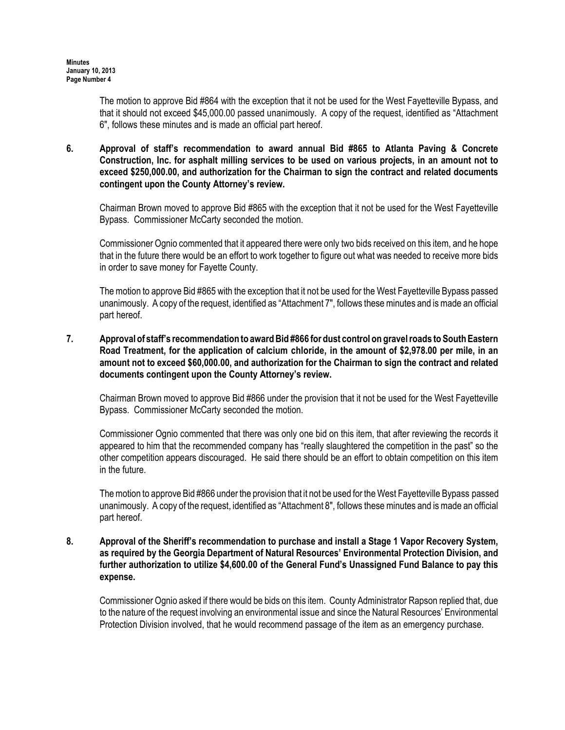The motion to approve Bid #864 with the exception that it not be used for the West Fayetteville Bypass, and that it should not exceed \$45,000.00 passed unanimously. A copy of the request, identified as "Attachment 6", follows these minutes and is made an official part hereof.

#### 6. Approval of staff's recommendation to award annual Bid #865 to Atlanta Paving & Concrete Construction, Inc. for asphalt milling services to be used on various projects, in an amount not to exceed \$250,000.00, and authorization for the Chairman to sign the contract and related documents contingent upon the County Attorney's review.

Chairman Brown moved to approve Bid #865 with the exception that it not be used for the West Fayetteville Bypass. Commissioner McCarty seconded the motion.

Commissioner Ognio commented that it appeared there were only two bids received on this item, and he hope that in the future there would be an effort to work together to figure out what was needed to receive more bids in order to save money for Fayette County.

The motion to approve Bid #865 with the exception that it not be used for the West Fayetteville Bypass passed unanimously. A copy of the request, identified as "Attachment 7", follows these minutes and is made an official part hereof.

### 7. Approval of staff's recommendation to award Bid #866 for dust control on gravel roads to South Eastern Road Treatment, for the application of calcium chloride, in the amount of \$2,978.00 per mile, in an amount not to exceed \$60,000.00, and authorization for the Chairman to sign the contract and related documents contingent upon the County Attorney's review.

Chairman Brown moved to approve Bid #866 under the provision that it not be used for the West Fayetteville Bypass. Commissioner McCarty seconded the motion.

Commissioner Ognio commented that there was only one bid on this item, that after reviewing the records it appeared to him that the recommended company has "really slaughtered the competition in the past" so the other competition appears discouraged. He said there should be an effort to obtain competition on this item in the future.

 The motion to approve Bid #866 under the provision that it not be used for the West Fayetteville Bypass passed unanimously. A copy of the request, identified as "Attachment 8", follows these minutes and is made an official part hereof.

#### 8. Approval of the Sheriff's recommendation to purchase and install a Stage 1 Vapor Recovery System, as required by the Georgia Department of Natural Resources' Environmental Protection Division, and further authorization to utilize \$4,600.00 of the General Fund's Unassigned Fund Balance to pay this expense.

Commissioner Ognio asked if there would be bids on this item. County Administrator Rapson replied that, due to the nature of the request involving an environmental issue and since the Natural Resources' Environmental Protection Division involved, that he would recommend passage of the item as an emergency purchase.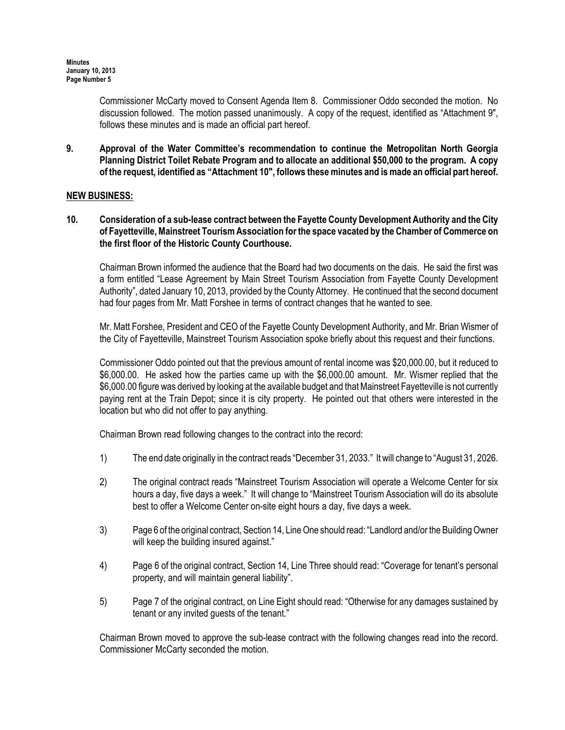Commissioner McCarty moved to Consent Agenda Item 8. Commissioner Oddo seconded the motion. No discussion followed. The motion passed unanimously. A copy of the request, identified as "Attachment 9", follows these minutes and is made an official part hereof.

9. Approval of the Water Committee's recommendation to continue the Metropolitan North Georgia Planning District Toilet Rebate Program and to allocate an additional \$50,000 to the program. A copy of the request, identified as "Attachment 10", follows these minutes and is made an official part hereof.

### NEW BUSINESS:

10. Consideration of a sub-lease contract between the Fayette County Development Authority and the City of Fayetteville, Mainstreet Tourism Association for the space vacated by the Chamber of Commerce on the first floor of the Historic County Courthouse.

Chairman Brown informed the audience that the Board had two documents on the dais. He said the first was a form entitled "Lease Agreement by Main Street Tourism Association from Fayette County Development Authority", dated January 10, 2013, provided by the County Attorney. He continued that the second document had four pages from Mr. Matt Forshee in terms of contract changes that he wanted to see.

Mr. Matt Forshee, President and CEO of the Fayette County Development Authority, and Mr. Brian Wismer of the City of Fayetteville, Mainstreet Tourism Association spoke briefly about this request and their functions.

Commissioner Oddo pointed out that the previous amount of rental income was \$20,000.00, but it reduced to \$6,000.00. He asked how the parties came up with the \$6,000.00 amount. Mr. Wismer replied that the \$6,000.00 figure was derived by looking at the available budget and that Mainstreet Fayetteville is not currently paying rent at the Train Depot; since it is city property. He pointed out that others were interested in the location but who did not offer to pay anything.

Chairman Brown read following changes to the contract into the record:

- 1) The end date originally in the contract reads "December 31, 2033." It will change to "August 31, 2026.
- 2) The original contract reads "Mainstreet Tourism Association will operate a Welcome Center for six hours a day, five days a week." It will change to "Mainstreet Tourism Association will do its absolute best to offer a Welcome Center on-site eight hours a day, five days a week.
- 3) Page 6 of the original contract, Section 14, Line One should read: "Landlord and/or the Building Owner will keep the building insured against."
- 4) Page 6 of the original contract, Section 14, Line Three should read: "Coverage for tenant's personal property, and will maintain general liability".
- 5) Page 7 of the original contract, on Line Eight should read: "Otherwise for any damages sustained by tenant or any invited guests of the tenant."

Chairman Brown moved to approve the sub-lease contract with the following changes read into the record. Commissioner McCarty seconded the motion.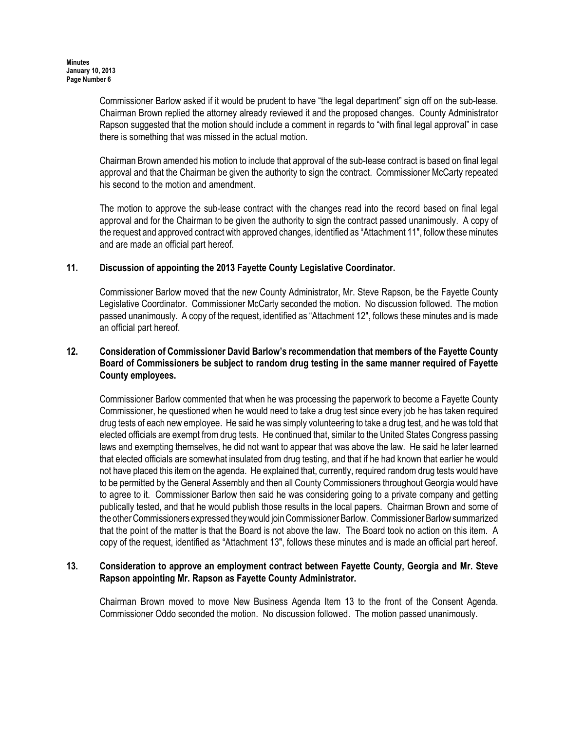Commissioner Barlow asked if it would be prudent to have "the legal department" sign off on the sub-lease. Chairman Brown replied the attorney already reviewed it and the proposed changes. County Administrator Rapson suggested that the motion should include a comment in regards to "with final legal approval" in case there is something that was missed in the actual motion.

Chairman Brown amended his motion to include that approval of the sub-lease contract is based on final legal approval and that the Chairman be given the authority to sign the contract. Commissioner McCarty repeated his second to the motion and amendment.

The motion to approve the sub-lease contract with the changes read into the record based on final legal approval and for the Chairman to be given the authority to sign the contract passed unanimously. A copy of the request and approved contract with approved changes, identified as "Attachment 11", follow these minutes and are made an official part hereof.

### 11. Discussion of appointing the 2013 Fayette County Legislative Coordinator.

Commissioner Barlow moved that the new County Administrator, Mr. Steve Rapson, be the Fayette County Legislative Coordinator. Commissioner McCarty seconded the motion. No discussion followed. The motion passed unanimously. A copy of the request, identified as "Attachment 12", follows these minutes and is made an official part hereof.

### 12. Consideration of Commissioner David Barlow's recommendation that members of the Fayette County Board of Commissioners be subject to random drug testing in the same manner required of Fayette County employees.

Commissioner Barlow commented that when he was processing the paperwork to become a Fayette County Commissioner, he questioned when he would need to take a drug test since every job he has taken required drug tests of each new employee. He said he was simply volunteering to take a drug test, and he was told that elected officials are exempt from drug tests. He continued that, similar to the United States Congress passing laws and exempting themselves, he did not want to appear that was above the law. He said he later learned that elected officials are somewhat insulated from drug testing, and that if he had known that earlier he would not have placed this item on the agenda. He explained that, currently, required random drug tests would have to be permitted by the General Assembly and then all County Commissioners throughout Georgia would have to agree to it. Commissioner Barlow then said he was considering going to a private company and getting publically tested, and that he would publish those results in the local papers. Chairman Brown and some of the other Commissioners expressed they would join Commissioner Barlow. Commissioner Barlow summarized that the point of the matter is that the Board is not above the law. The Board took no action on this item. A copy of the request, identified as "Attachment 13", follows these minutes and is made an official part hereof.

### 13. Consideration to approve an employment contract between Fayette County, Georgia and Mr. Steve Rapson appointing Mr. Rapson as Fayette County Administrator.

Chairman Brown moved to move New Business Agenda Item 13 to the front of the Consent Agenda. Commissioner Oddo seconded the motion. No discussion followed. The motion passed unanimously.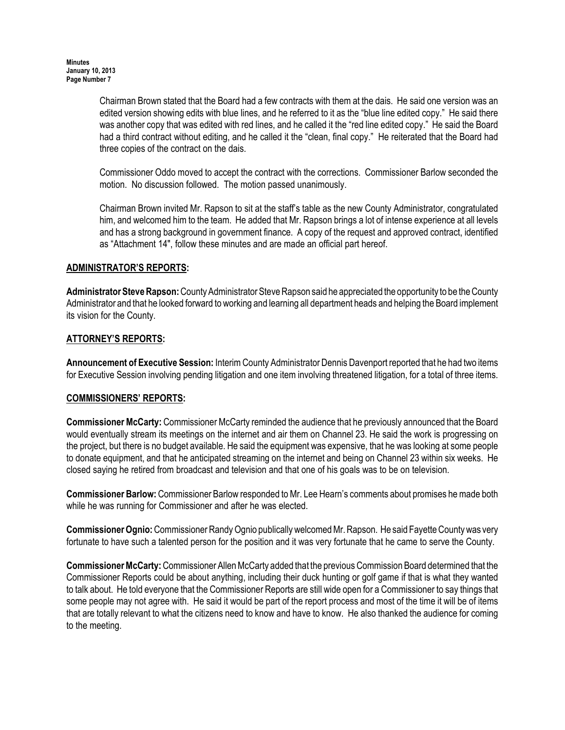Chairman Brown stated that the Board had a few contracts with them at the dais. He said one version was an edited version showing edits with blue lines, and he referred to it as the "blue line edited copy." He said there was another copy that was edited with red lines, and he called it the "red line edited copy." He said the Board had a third contract without editing, and he called it the "clean, final copy." He reiterated that the Board had three copies of the contract on the dais.

Commissioner Oddo moved to accept the contract with the corrections. Commissioner Barlow seconded the motion. No discussion followed. The motion passed unanimously.

Chairman Brown invited Mr. Rapson to sit at the staff's table as the new County Administrator, congratulated him, and welcomed him to the team. He added that Mr. Rapson brings a lot of intense experience at all levels and has a strong background in government finance. A copy of the request and approved contract, identified as "Attachment 14", follow these minutes and are made an official part hereof.

### ADMINISTRATOR'S REPORTS:

Administrator Steve Rapson: County Administrator Steve Rapson said he appreciated the opportunity to be the County Administrator and that he looked forward to working and learning all department heads and helping the Board implement its vision for the County.

### ATTORNEY'S REPORTS:

Announcement of Executive Session: Interim County Administrator Dennis Davenport reported that he had two items for Executive Session involving pending litigation and one item involving threatened litigation, for a total of three items.

#### COMMISSIONERS' REPORTS:

Commissioner McCarty: Commissioner McCarty reminded the audience that he previously announced that the Board would eventually stream its meetings on the internet and air them on Channel 23. He said the work is progressing on the project, but there is no budget available. He said the equipment was expensive, that he was looking at some people to donate equipment, and that he anticipated streaming on the internet and being on Channel 23 within six weeks. He closed saying he retired from broadcast and television and that one of his goals was to be on television.

Commissioner Barlow: Commissioner Barlow responded to Mr. Lee Hearn's comments about promises he made both while he was running for Commissioner and after he was elected.

Commissioner Ognio: Commissioner Randy Ognio publically welcomed Mr. Rapson. He said Fayette County was very fortunate to have such a talented person for the position and it was very fortunate that he came to serve the County.

Commissioner McCarty: Commissioner Allen McCarty added that the previous Commission Board determined that the Commissioner Reports could be about anything, including their duck hunting or golf game if that is what they wanted to talk about. He told everyone that the Commissioner Reports are still wide open for a Commissioner to say things that some people may not agree with. He said it would be part of the report process and most of the time it will be of items that are totally relevant to what the citizens need to know and have to know. He also thanked the audience for coming to the meeting.